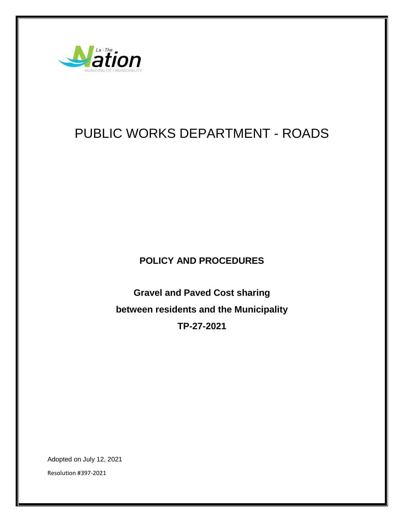

**POLICY AND PROCEDURES**

**Gravel and Paved Cost sharing between residents and the Municipality TP-27-2021**

Adopted on July 12, 2021 Resolution #397-2021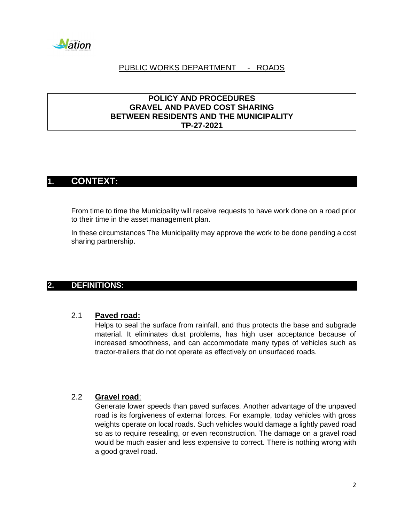

### **POLICY AND PROCEDURES GRAVEL AND PAVED COST SHARING BETWEEN RESIDENTS AND THE MUNICIPALITY TP-27-2021**

# **1. CONTEXT:**

From time to time the Municipality will receive requests to have work done on a road prior to their time in the asset management plan.

In these circumstances The Municipality may approve the work to be done pending a cost sharing partnership.

#### **2. DEFINITIONS:**

#### 2.1 **Paved road:**

Helps to seal the surface from rainfall, and thus protects the base and subgrade material. It eliminates dust problems, has high user acceptance because of increased smoothness, and can accommodate many types of vehicles such as tractor-trailers that do not operate as effectively on unsurfaced roads.

## 2.2 **Gravel road**:

Generate lower speeds than paved surfaces. Another advantage of the unpaved road is its forgiveness of external forces. For example, today vehicles with gross weights operate on local roads. Such vehicles would damage a lightly paved road so as to require resealing, or even reconstruction. The damage on a gravel road would be much easier and less expensive to correct. There is nothing wrong with a good gravel road.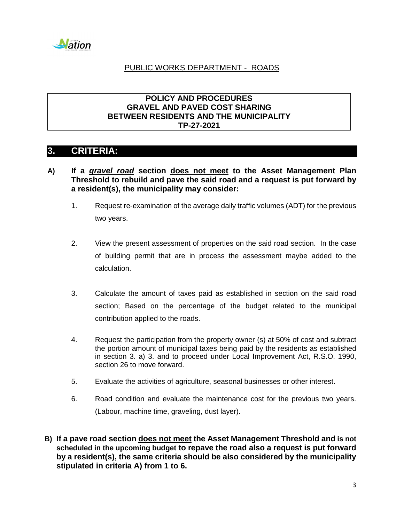

### **POLICY AND PROCEDURES GRAVEL AND PAVED COST SHARING BETWEEN RESIDENTS AND THE MUNICIPALITY TP-27-2021**

# **3. CRITERIA:**

- **A) If a** *gravel road* **section does not meet to the Asset Management Plan Threshold to rebuild and pave the said road and a request is put forward by a resident(s), the municipality may consider:**
	- 1. Request re-examination of the average daily traffic volumes (ADT) for the previous two years.
	- 2. View the present assessment of properties on the said road section. In the case of building permit that are in process the assessment maybe added to the calculation.
	- 3. Calculate the amount of taxes paid as established in section on the said road section; Based on the percentage of the budget related to the municipal contribution applied to the roads.
	- 4. Request the participation from the property owner (s) at 50% of cost and subtract the portion amount of municipal taxes being paid by the residents as established in section 3. a) 3. and to proceed under Local Improvement Act, R.S.O. 1990, section 26 to move forward.
	- 5. Evaluate the activities of agriculture, seasonal businesses or other interest.
	- 6. Road condition and evaluate the maintenance cost for the previous two years. (Labour, machine time, graveling, dust layer).
- **B) If a pave road section does not meet the Asset Management Threshold and is not scheduled in the upcoming budget to repave the road also a request is put forward by a resident(s), the same criteria should be also considered by the municipality stipulated in criteria A) from 1 to 6.**